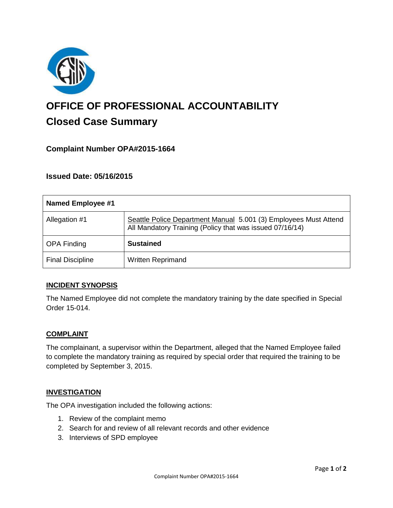

# **OFFICE OF PROFESSIONAL ACCOUNTABILITY Closed Case Summary**

# **Complaint Number OPA#2015-1664**

## **Issued Date: 05/16/2015**

| <b>Named Employee #1</b> |                                                                                                                              |
|--------------------------|------------------------------------------------------------------------------------------------------------------------------|
| Allegation #1            | Seattle Police Department Manual 5.001 (3) Employees Must Attend<br>All Mandatory Training (Policy that was issued 07/16/14) |
| <b>OPA Finding</b>       | <b>Sustained</b>                                                                                                             |
| <b>Final Discipline</b>  | <b>Written Reprimand</b>                                                                                                     |

## **INCIDENT SYNOPSIS**

The Named Employee did not complete the mandatory training by the date specified in Special Order 15-014.

#### **COMPLAINT**

The complainant, a supervisor within the Department, alleged that the Named Employee failed to complete the mandatory training as required by special order that required the training to be completed by September 3, 2015.

#### **INVESTIGATION**

The OPA investigation included the following actions:

- 1. Review of the complaint memo
- 2. Search for and review of all relevant records and other evidence
- 3. Interviews of SPD employee